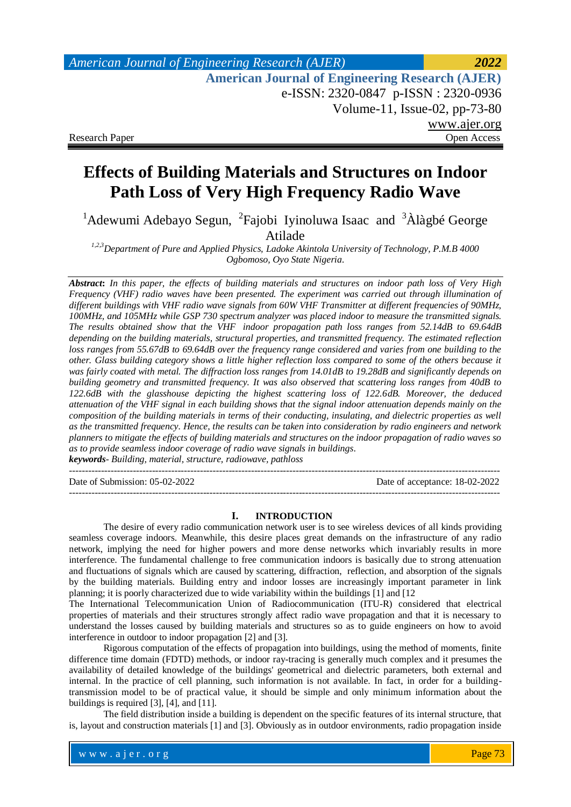# **Effects of Building Materials and Structures on Indoor Path Loss of Very High Frequency Radio Wave**

<sup>1</sup>Adewumi Adebayo Segun, <sup>2</sup>Fajobi Iyinoluwa Isaac and  $3\text{\AA}$ làgbé George Atilade

*1,2,3Department of Pure and Applied Physics, Ladoke Akintola University of Technology, P.M.B 4000 Ogbomoso, Oyo State Nigeria.*

*Abstract***:** *In this paper, the effects of building materials and structures on indoor path loss of Very High Frequency (VHF) radio waves have been presented. The experiment was carried out through illumination of different buildings with VHF radio wave signals from 60W VHF Transmitter at different frequencies of 90MHz, 100MHz, and 105MHz while GSP 730 spectrum analyzer was placed indoor to measure the transmitted signals. The results obtained show that the VHF indoor propagation path loss ranges from 52.14dB to 69.64dB depending on the building materials, structural properties, and transmitted frequency. The estimated reflection loss ranges from 55.67dB to 69.64dB over the frequency range considered and varies from one building to the other. Glass building category shows a little higher reflection loss compared to some of the others because it was fairly coated with metal. The diffraction loss ranges from 14.01dB to 19.28dB and significantly depends on building geometry and transmitted frequency. It was also observed that scattering loss ranges from 40dB to 122.6dB with the glasshouse depicting the highest scattering loss of 122.6dB. Moreover, the deduced attenuation of the VHF signal in each building shows that the signal indoor attenuation depends mainly on the composition of the building materials in terms of their conducting, insulating, and dielectric properties as well as the transmitted frequency. Hence, the results can be taken into consideration by radio engineers and network planners to mitigate the effects of building materials and structures on the indoor propagation of radio waves so as to provide seamless indoor coverage of radio wave signals in buildings*. *keywords- Building, material, structure, radiowave, pathloss*

---------------------------------------------------------------------------------------------------------------------------------------

Date of Submission: 05-02-2022 Date of acceptance: 18-02-2022 ---------------------------------------------------------------------------------------------------------------------------------------

### **I. INTRODUCTION**

 The desire of every radio communication network user is to see wireless devices of all kinds providing seamless coverage indoors. Meanwhile, this desire places great demands on the infrastructure of any radio network, implying the need for higher powers and more dense networks which invariably results in more interference. The fundamental challenge to free communication indoors is basically due to strong attenuation and fluctuations of signals which are caused by scattering, diffraction, reflection, and absorption of the signals by the building materials. Building entry and indoor losses are increasingly important parameter in link planning; it is poorly characterized due to wide variability within the buildings [1] and [12

The International Telecommunication Union of Radiocommunication (ITU-R) considered that electrical properties of materials and their structures strongly affect radio wave propagation and that it is necessary to understand the losses caused by building materials and structures so as to guide engineers on how to avoid interference in outdoor to indoor propagation [2] and [3].

Rigorous computation of the effects of propagation into buildings, using the method of moments, finite difference time domain (FDTD) methods, or indoor ray-tracing is generally much complex and it presumes the availability of detailed knowledge of the buildings' geometrical and dielectric parameters, both external and internal. In the practice of cell planning, such information is not available. In fact, in order for a buildingtransmission model to be of practical value, it should be simple and only minimum information about the buildings is required [3], [4], and [11].

The field distribution inside a building is dependent on the specific features of its internal structure, that is, layout and construction materials [1] and [3]. Obviously as in outdoor environments, radio propagation inside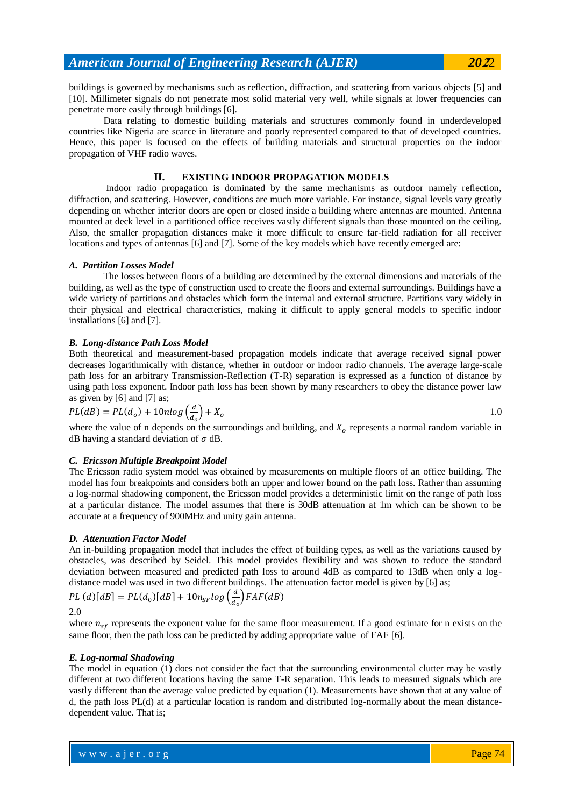buildings is governed by mechanisms such as reflection, diffraction, and scattering from various objects [5] and [10]. Millimeter signals do not penetrate most solid material very well, while signals at lower frequencies can penetrate more easily through buildings [6].

Data relating to domestic building materials and structures commonly found in underdeveloped countries like Nigeria are scarce in literature and poorly represented compared to that of developed countries. Hence, this paper is focused on the effects of building materials and structural properties on the indoor propagation of VHF radio waves.

### **II. EXISTING INDOOR PROPAGATION MODELS**

Indoor radio propagation is dominated by the same mechanisms as outdoor namely reflection, diffraction, and scattering. However, conditions are much more variable. For instance, signal levels vary greatly depending on whether interior doors are open or closed inside a building where antennas are mounted. Antenna mounted at deck level in a partitioned office receives vastly different signals than those mounted on the ceiling. Also, the smaller propagation distances make it more difficult to ensure far-field radiation for all receiver locations and types of antennas [6] and [7]. Some of the key models which have recently emerged are:

#### *A. Partition Losses Model*

The losses between floors of a building are determined by the external dimensions and materials of the building, as well as the type of construction used to create the floors and external surroundings. Buildings have a wide variety of partitions and obstacles which form the internal and external structure. Partitions vary widely in their physical and electrical characteristics, making it difficult to apply general models to specific indoor installations [6] and [7].

### *B. Long-distance Path Loss Model*

Both theoretical and measurement-based propagation models indicate that average received signal power decreases logarithmically with distance, whether in outdoor or indoor radio channels. The average large-scale path loss for an arbitrary Transmission-Reflection (T-R) separation is expressed as a function of distance by using path loss exponent. Indoor path loss has been shown by many researchers to obey the distance power law as given by [6] and [7] as;

$$
PL(dB) = PL(do) + 10nlog\left(\frac{d}{d_o}\right) + X_o
$$

where the value of n depends on the surroundings and building, and  $X<sub>o</sub>$  represents a normal random variable in dB having a standard deviation of  $\sigma$  dB.

# *C. Ericsson Multiple Breakpoint Model*

The Ericsson radio system model was obtained by measurements on multiple floors of an office building. The model has four breakpoints and considers both an upper and lower bound on the path loss. Rather than assuming a log-normal shadowing component, the Ericsson model provides a deterministic limit on the range of path loss at a particular distance. The model assumes that there is 30dB attenuation at 1m which can be shown to be accurate at a frequency of 900MHz and unity gain antenna.

### *D. Attenuation Factor Model*

An in-building propagation model that includes the effect of building types, as well as the variations caused by obstacles, was described by Seidel. This model provides flexibility and was shown to reduce the standard deviation between measured and predicted path loss to around 4dB as compared to 13dB when only a logdistance model was used in two different buildings. The attenuation factor model is given by [6] as;

$$
PL(d)[dB] = PL(d_0)[dB] + 10n_{SF}log\left(\frac{d}{d_0}\right)FAF(dB)
$$

2.0

where  $n_{sf}$  represents the exponent value for the same floor measurement. If a good estimate for n exists on the same floor, then the path loss can be predicted by adding appropriate value of FAF [6].

#### *E. Log-normal Shadowing*

The model in equation (1) does not consider the fact that the surrounding environmental clutter may be vastly different at two different locations having the same T-R separation. This leads to measured signals which are vastly different than the average value predicted by equation (1). Measurements have shown that at any value of d, the path loss PL(d) at a particular location is random and distributed log-normally about the mean distancedependent value. That is;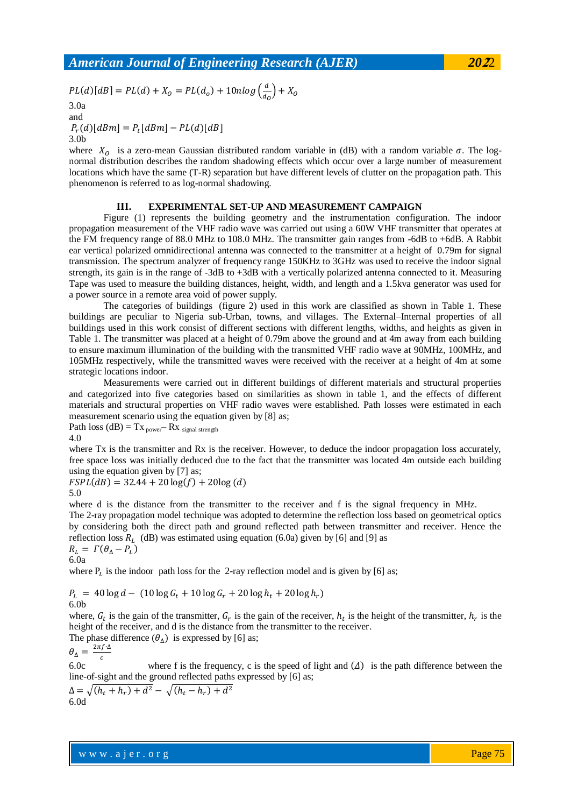$$
2022
$$

$$
PL(d)[dB] = PL(d) + X_0 = PL(d_0) + 10nlog\left(\frac{d}{d_0}\right) + X_0
$$

3.0a and

 $P_r(d)[dBm] = P_t[$ 3.0b

where  $X_0$  is a zero-mean Gaussian distributed random variable in (dB) with a random variable  $\sigma$ . The lognormal distribution describes the random shadowing effects which occur over a large number of measurement locations which have the same (T-R) separation but have different levels of clutter on the propagation path. This phenomenon is referred to as log-normal shadowing.

### **III. EXPERIMENTAL SET-UP AND MEASUREMENT CAMPAIGN**

Figure (1) represents the building geometry and the instrumentation configuration. The indoor propagation measurement of the VHF radio wave was carried out using a 60W VHF transmitter that operates at the FM frequency range of 88.0 MHz to 108.0 MHz. The transmitter gain ranges from -6dB to +6dB. A Rabbit ear vertical polarized omnidirectional antenna was connected to the transmitter at a height of 0.79m for signal transmission. The spectrum analyzer of frequency range 150KHz to 3GHz was used to receive the indoor signal strength, its gain is in the range of -3dB to +3dB with a vertically polarized antenna connected to it. Measuring Tape was used to measure the building distances, height, width, and length and a 1.5kva generator was used for a power source in a remote area void of power supply.

The categories of buildings (figure 2) used in this work are classified as shown in Table 1. These buildings are peculiar to Nigeria sub-Urban, towns, and villages. The External–Internal properties of all buildings used in this work consist of different sections with different lengths, widths, and heights as given in Table 1. The transmitter was placed at a height of 0.79m above the ground and at 4m away from each building to ensure maximum illumination of the building with the transmitted VHF radio wave at 90MHz, 100MHz, and 105MHz respectively, while the transmitted waves were received with the receiver at a height of 4m at some strategic locations indoor.

Measurements were carried out in different buildings of different materials and structural properties and categorized into five categories based on similarities as shown in table 1, and the effects of different materials and structural properties on VHF radio waves were established. Path losses were estimated in each measurement scenario using the equation given by [8] as;

Path loss  $(dB) = Tx_{power} - Rx_{signal strength}$ 4.0

where Tx is the transmitter and Rx is the receiver. However, to deduce the indoor propagation loss accurately, free space loss was initially deduced due to the fact that the transmitter was located 4m outside each building using the equation given by [7] as;

 $FSPL(dB) = 32.44 + 20 \log(f) + 20 \log(d)$ 5.0

where d is the distance from the transmitter to the receiver and f is the signal frequency in MHz.

The 2-ray propagation model technique was adopted to determine the reflection loss based on geometrical optics by considering both the direct path and ground reflected path between transmitter and receiver. Hence the reflection loss  $R_L$  (dB) was estimated using equation (6.0a) given by [6] and [9] as

$$
R_L = \Gamma(\theta_\Delta - P_L)
$$
  
6.0a

where  $P_L$  is the indoor path loss for the 2-ray reflection model and is given by [6] as;

$$
P_L = 40 \log d - (10 \log G_t + 10 \log G_r + 20 \log h_t + 20 \log h_r)
$$
  
6.0b

where,  $G_t$  is the gain of the transmitter,  $G_r$  is the gain of the receiver,  $h_t$  is the height of the transmitter,  $h_r$  is the height of the receiver, and d is the distance from the transmitter to the receiver.

The phase difference  $(\theta_{\Delta})$  is expressed by [6] as;

$$
\theta_{\Delta} = \frac{2\pi f \cdot l}{c}
$$

6.0c where f is the frequency, c is the speed of light and  $(\Delta)$  is the path difference between the line-of-sight and the ground reflected paths expressed by [6] as;

 $\Delta = \sqrt{(h_t + h_r) + d^2} - \sqrt{(h_t - h_r) + d^2}$ 6.0d

www.ajer.org where  $\mathcal{L} = \mathcal{L} \left( \mathcal{L} \right)$  is the set of  $\mathcal{L} \left( \mathcal{L} \right)$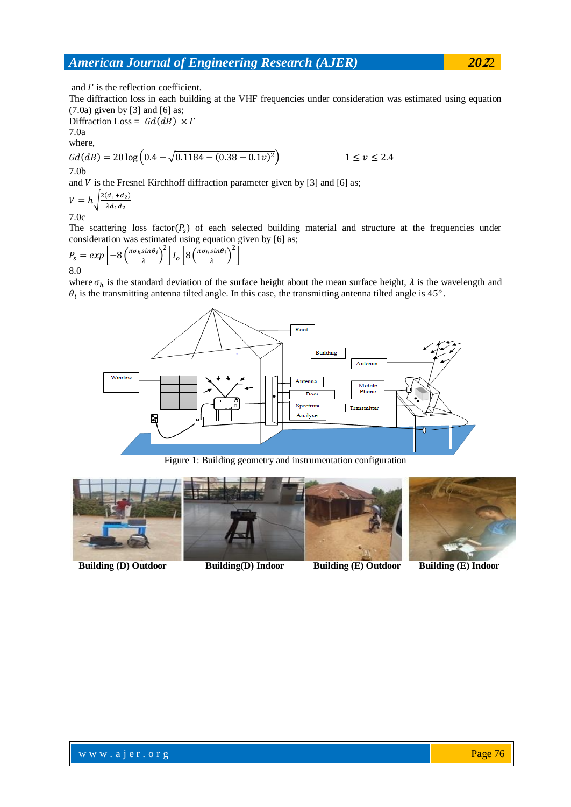and  $\Gamma$  is the reflection coefficient.

The diffraction loss in each building at the VHF frequencies under consideration was estimated using equation (7.0a) given by [3] and [6] as;

Diffraction Loss =  $Gd(dB) \times \Gamma$ 7.0a

where,

$$
Gd(dB) = 20 \log \left(0.4 - \sqrt{0.1184 - (0.38 - 0.1v)^2}\right)
$$
  
1 \le v \le 2.4  
7.0b

and V is the Fresnel Kirchhoff diffraction parameter given by  $[3]$  and  $[6]$  as;

V  $2(d_1+d_2)$  $\overline{\lambda d_1 d_2}$ 

7.0c

The scattering loss factor  $(P_s)$  of each selected building material and structure at the frequencies under consideration was estimated using equation given by [6] as;

$$
P_s = exp\left[-8\left(\frac{\pi\sigma_h sin\theta_i}{\lambda}\right)^2\right]I_o\left[8\left(\frac{\pi\sigma_h sin\theta_i}{\lambda}\right)^2\right]
$$
8.0

where  $\sigma_h$  is the standard deviation of the surface height about the mean surface height,  $\lambda$  is the wavelength and  $\theta_i$  is the transmitting antenna tilted angle. In this case, the transmitting antenna tilted angle is 45<sup>o</sup>.



Figure 1: Building geometry and instrumentation configuration



 **Building (D) Outdoor Building(D) Indoor Building (E) Outdoor Building (E) Indoor**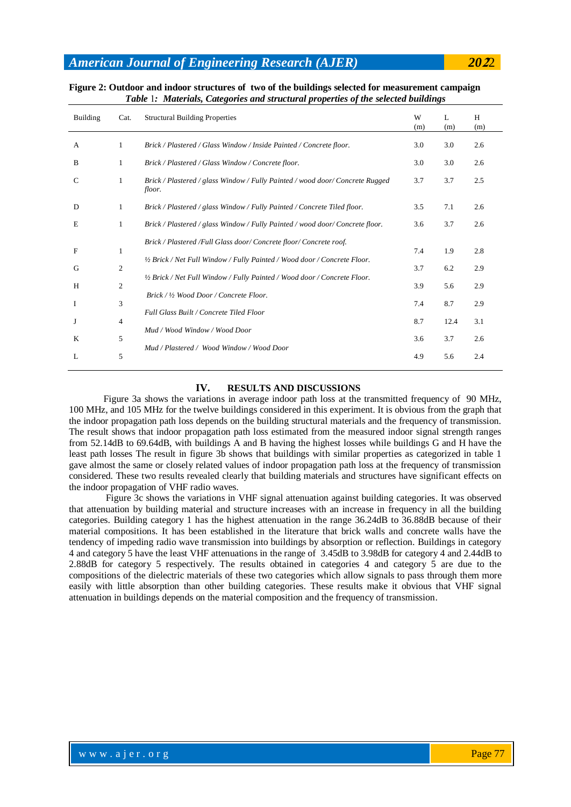| <b>Building</b> | Cat.           | <b>Structural Building Properties</b>                                                   | W<br>(m) | $\mathbf{L}$<br>(m) | H<br>(m) |
|-----------------|----------------|-----------------------------------------------------------------------------------------|----------|---------------------|----------|
| А               | -1             | Brick / Plastered / Glass Window / Inside Painted / Concrete floor.                     | 3.0      | 3.0                 | 2.6      |
| B               | 1              | Brick / Plastered / Glass Window / Concrete floor.                                      | 3.0      | 3.0                 | 2.6      |
| C               | 1              | Brick / Plastered / glass Window / Fully Painted / wood door/ Concrete Rugged<br>floor. | 3.7      | 3.7                 | 2.5      |
| D               | 1              | Brick / Plastered / glass Window / Fully Painted / Concrete Tiled floor.                | 3.5      | 7.1                 | 2.6      |
| Е               | 1              | Brick / Plastered / glass Window / Fully Painted / wood door/ Concrete floor.           | 3.6      | 3.7                 | 2.6      |
| F               | 1              | Brick / Plastered / Full Glass door/ Concrete floor/ Concrete roof.                     | 7.4      | 1.9                 | 2.8      |
| G               | $\overline{2}$ | 1/2 Brick / Net Full Window / Fully Painted / Wood door / Concrete Floor.               | 3.7      | 6.2                 | 2.9      |
| Н               | $\overline{2}$ | 1/2 Brick / Net Full Window / Fully Painted / Wood door / Concrete Floor.               | 3.9      | 5.6                 | 2.9      |
| I               | 3              | Brick / 1/2 Wood Door / Concrete Floor.                                                 | 7.4      | 8.7                 | 2.9      |
| J               | 4              | Full Glass Built / Concrete Tiled Floor                                                 | 8.7      | 12.4                | 3.1      |
| K               | 5              | Mud / Wood Window / Wood Door                                                           | 3.6      | 3.7                 | 2.6      |
| L               | 5              | Mud / Plastered / Wood Window / Wood Door                                               | 4.9      | 5.6                 | 2.4      |

### **Figure 2: Outdoor and indoor structures of two of the buildings selected for measurement campaign** *Table* 1*: Materials, Categories and structural properties of the selected buildings*

# **IV. RESULTS AND DISCUSSIONS**

Figure 3a shows the variations in average indoor path loss at the transmitted frequency of 90 MHz, 100 MHz, and 105 MHz for the twelve buildings considered in this experiment. It is obvious from the graph that the indoor propagation path loss depends on the building structural materials and the frequency of transmission. The result shows that indoor propagation path loss estimated from the measured indoor signal strength ranges from 52.14dB to 69.64dB, with buildings A and B having the highest losses while buildings G and H have the least path losses The result in figure 3b shows that buildings with similar properties as categorized in table 1 gave almost the same or closely related values of indoor propagation path loss at the frequency of transmission considered. These two results revealed clearly that building materials and structures have significant effects on the indoor propagation of VHF radio waves.

Figure 3c shows the variations in VHF signal attenuation against building categories. It was observed that attenuation by building material and structure increases with an increase in frequency in all the building categories. Building category 1 has the highest attenuation in the range 36.24dB to 36.88dB because of their material compositions. It has been established in the literature that brick walls and concrete walls have the tendency of impeding radio wave transmission into buildings by absorption or reflection. Buildings in category 4 and category 5 have the least VHF attenuations in the range of 3.45dB to 3.98dB for category 4 and 2.44dB to 2.88dB for category 5 respectively. The results obtained in categories 4 and category 5 are due to the compositions of the dielectric materials of these two categories which allow signals to pass through them more easily with little absorption than other building categories. These results make it obvious that VHF signal attenuation in buildings depends on the material composition and the frequency of transmission.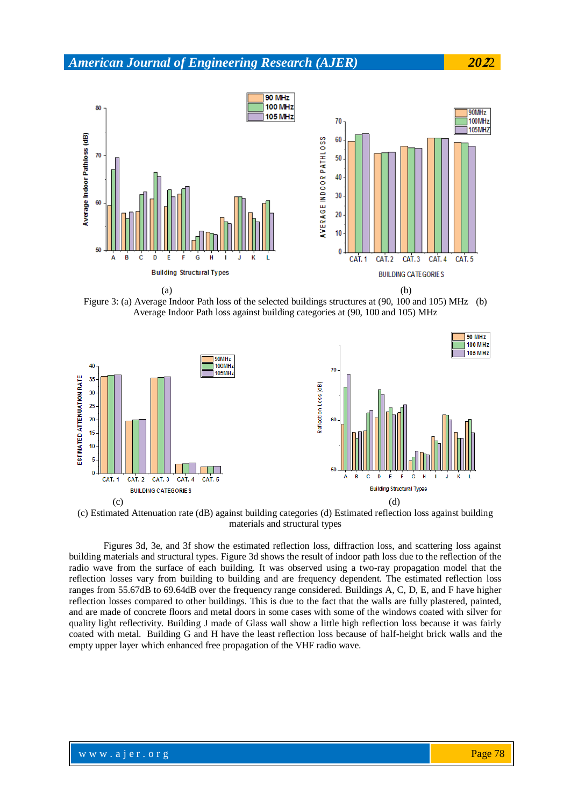

Figure 3: (a) Average Indoor Path loss of the selected buildings structures at (90, 100 and 105) MHz (b) Average Indoor Path loss against building categories at (90, 100 and 105) MHz



(c) Estimated Attenuation rate (dB) against building categories (d) Estimated reflection loss against building materials and structural types

Figures 3d, 3e, and 3f show the estimated reflection loss, diffraction loss, and scattering loss against building materials and structural types. Figure 3d shows the result of indoor path loss due to the reflection of the radio wave from the surface of each building. It was observed using a two-ray propagation model that the reflection losses vary from building to building and are frequency dependent. The estimated reflection loss ranges from 55.67dB to 69.64dB over the frequency range considered. Buildings A, C, D, E, and F have higher reflection losses compared to other buildings. This is due to the fact that the walls are fully plastered, painted, and are made of concrete floors and metal doors in some cases with some of the windows coated with silver for quality light reflectivity. Building J made of Glass wall show a little high reflection loss because it was fairly coated with metal. Building G and H have the least reflection loss because of half-height brick walls and the empty upper layer which enhanced free propagation of the VHF radio wave.

## www.ajer.org where  $\mathcal{L} = \mathcal{L} \left( \mathcal{L} \right)$  is the set of  $\mathcal{L} \left( \mathcal{L} \right)$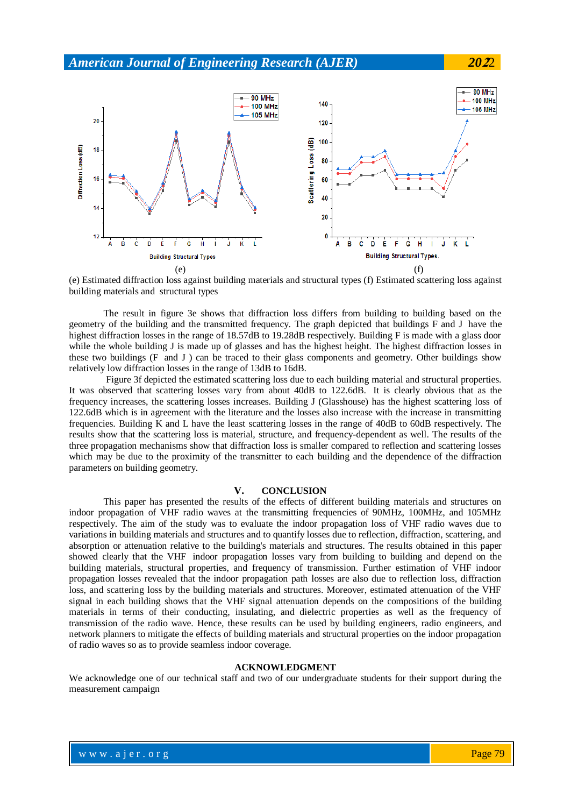

(e) Estimated diffraction loss against building materials and structural types (f) Estimated scattering loss against building materials and structural types

The result in figure 3e shows that diffraction loss differs from building to building based on the geometry of the building and the transmitted frequency. The graph depicted that buildings F and J have the highest diffraction losses in the range of 18.57dB to 19.28dB respectively. Building F is made with a glass door while the whole building J is made up of glasses and has the highest height. The highest diffraction losses in these two buildings (F and J ) can be traced to their glass components and geometry. Other buildings show relatively low diffraction losses in the range of 13dB to 16dB.

Figure 3f depicted the estimated scattering loss due to each building material and structural properties. It was observed that scattering losses vary from about 40dB to 122.6dB. It is clearly obvious that as the frequency increases, the scattering losses increases. Building J (Glasshouse) has the highest scattering loss of 122.6dB which is in agreement with the literature and the losses also increase with the increase in transmitting frequencies. Building K and L have the least scattering losses in the range of 40dB to 60dB respectively. The results show that the scattering loss is material, structure, and frequency-dependent as well. The results of the three propagation mechanisms show that diffraction loss is smaller compared to reflection and scattering losses which may be due to the proximity of the transmitter to each building and the dependence of the diffraction parameters on building geometry.

### **V. CONCLUSION**

This paper has presented the results of the effects of different building materials and structures on indoor propagation of VHF radio waves at the transmitting frequencies of 90MHz, 100MHz, and 105MHz respectively. The aim of the study was to evaluate the indoor propagation loss of VHF radio waves due to variations in building materials and structures and to quantify losses due to reflection, diffraction, scattering, and absorption or attenuation relative to the building's materials and structures. The results obtained in this paper showed clearly that the VHF indoor propagation losses vary from building to building and depend on the building materials, structural properties, and frequency of transmission. Further estimation of VHF indoor propagation losses revealed that the indoor propagation path losses are also due to reflection loss, diffraction loss, and scattering loss by the building materials and structures. Moreover, estimated attenuation of the VHF signal in each building shows that the VHF signal attenuation depends on the compositions of the building materials in terms of their conducting, insulating, and dielectric properties as well as the frequency of transmission of the radio wave. Hence, these results can be used by building engineers, radio engineers, and network planners to mitigate the effects of building materials and structural properties on the indoor propagation of radio waves so as to provide seamless indoor coverage.

### **ACKNOWLEDGMENT**

We acknowledge one of our technical staff and two of our undergraduate students for their support during the measurement campaign